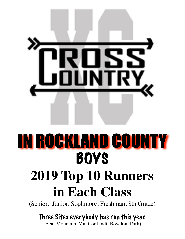

# IN ROCKLAND COUNTY BOYS

# **2019 Top 10 Runners in Each Class**

(Senior, Junior, Sophmore, Freshman, 8th Grade)

#### Three Sites everybody has run this year.

(Bear Mountain, Van Cortlandt, Bowdoin Park)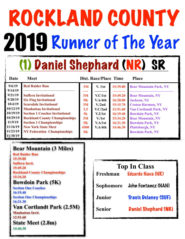# ROCKLAND COUNTY 2019 Runner of The Year

# (1) Daniel Shephard (NR) SR

| Date               | <b>Meet</b>                           | Dist. Race/Place Time<br><b>Place</b> |                  |          |                               |
|--------------------|---------------------------------------|---------------------------------------|------------------|----------|-------------------------------|
| 9/6/19             | <b>Red Raider Run</b>                 | 3M                                    | V. / 1st         | 15:39.80 | <b>Bear Mountain Park, NY</b> |
| 9/14/19<br>9/21/19 | <b>Suffern Invitational</b>           | 3M                                    | V.C/1st          | 15:49.20 | <b>Bear Mountain, NY</b>      |
| 9/28/19            | <b>Six Flag Invitational</b>          | 5K                                    | V.A/4th          | 16:20.00 | <b>Jackson</b> , NJ           |
| 10/4/19            | <b>Scarsdale Invitational</b>         | 3M                                    | V/2nd            | 15:15.70 | <b>Croton Harmon, NY</b>      |
| 10/12/19           | <b>Manhattan Invitational</b>         | 2.5                                   | V.C/2nd          | 12:51.60 | <b>Van Cortlandt Park, NY</b> |
| 10/19/19           | <b>Section 1 Coaches Invitational</b> | 5k                                    | V.2/1st          | 16:19.40 | <b>Bowdoin Park, NY</b>       |
| 10/29/19           | <b>Rockland County Championships</b>  | 3M                                    | V <sub>1st</sub> | 15:34.20 | <b>Bear Mountain, NY</b>      |
| 11/9/19            | <b>Section 1 Championships</b>        | 5K                                    | V.A/1st          | 16:21.30 | <b>Bowdoin Park, NY</b>       |
| 11/16/19           | <b>New York State Meet</b>            | 4500                                  | V.A/4th          | 14:46.30 | <b>Plattsburgh, NY</b>        |
| 11/23/19           | <b>NY Federation Championships</b>    | 5K                                    |                  |          | <b>Bowdoin Park, NY</b>       |
| 11/30/19           |                                       |                                       |                  |          |                               |

#### **Bear Mountain (3 Miles)**

**Red Raider Run 15:39.80 Suffern Invit. 15:49.20 Rockland County Championships 15:34.20 Bowdoin Park (5K) Section One Coaches 16:19.40 Section One Championships 16:21.30 Van Cortlandt Park (2.5M) Manhattan Invit.** 

**12:51.60 State Meet (2.8m) 14:46.30** 

| <b>Top In Class</b> |                               |  |  |  |
|---------------------|-------------------------------|--|--|--|
| Freshman            | <b>Eduardo Nava (NR)</b>      |  |  |  |
|                     | Sophomore John Fontanez (NAN) |  |  |  |
| <b>Junior</b>       | <b>Travis Delaney (SUF)</b>   |  |  |  |
| <b>Senior</b>       | <b>Daniel Shephard (NR)</b>   |  |  |  |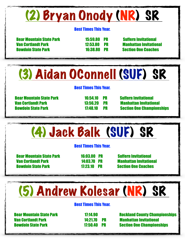## (2) Bryan Onody (NR) SR

#### Best Times This Year.

 Bear Mountain State Park 15:59.80 PR Suffern Invitational Van Cortlandt Park 12:53.80 PR Manhattan Invitational Bowdoin State Park 16:38.80 PR Section One Coaches

# (3) Aidan OConnell (SUF) SR

#### Best Times This Year.

 Bear Mountain State Park 16:54.10 PR Suffern Invitational Van Cortlandt Park 13:56.20 PR Manhattan Invitational

Bowdoin State Park 17:48.10 PR Section One Championships

# (4) Jack Balk (SUF) SR

#### Best Times This Year.

 Bear Mountain State Park 16:03.00 PR Suffern Invitational Van Cortlandt Park 14:03.70 PR Manhattan Invitational Bowdoin State Park 17:23.10 PR Section One Coaches

# (5) Andrew Kolesar (NR) SR

#### Best Times This Year.

Van Cortlandt Park 14:21.70 PR Manhattan Invitational

**Bear Mountain State Park 17:14.90 Rockland County Championships** Bowdoin State Park 17:50.40 PR Section One Championships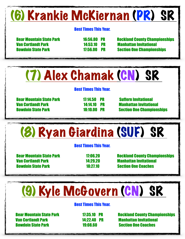# (6) Krankie McKiernan (PR) SR

#### Best Times This Year.

Van Cortlandt Park 14:53.10 PR Manhattan Invitational

Bear Mountain State Park 16:56.80 PR Rockland County Championships Bowdoin State Park 17:56.00 PR Section One Championships

## (7) Alex Chamak (CN) SR

#### Best Times This Year.

 Bear Mountain State Park 17:14.50 PR Suffern Invitational Van Cortlandt Park 14:14.10 PR Manhattan Invitational

Bowdoin State Park 18:10.00 PR Section One Championships

# (8) Ryan Giardina (SUF) SR

#### Best Times This Year.

 Van Cortlandt Park 14:29.20 Manhattan Invitational Bowdoin State Park 18:27.10 Section One Coaches

Bear Mountain State Park 17:06.20 Rockland County Championships

# (9) Kyle McGovern (CN) SR

#### Best Times This Year.

 Van Cortlandt Park 14:22.40 PR Manhattan Invitational Bowdoin State Park 19:08.60 Section One Coaches

Bear Mountain State Park 17:35.10 PR Rockland County Championships